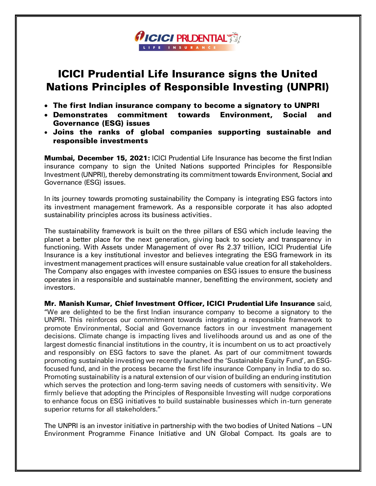## ICICI Prudential Life Insurance signs the United Nations Principles of Responsible Investing (UNPRI)

**AICICI PRUDENTIAL TO A** 

- The first Indian insurance company to become a signatory to UNPRI
- Demonstrates commitment towards Environment, Social and Governance (ESG) issues
- Joins the ranks of global companies supporting sustainable and responsible investments

**Mumbai, December 15, 2021: ICICI Prudential Life Insurance has become the first Indian** insurance company to sign the United Nations supported Principles for Responsible Investment (UNPRI), thereby demonstrating its commitment towards Environment, Social and Governance (ESG) issues.

In its journey towards promoting sustainability the Company is integrating ESG factors into its investment management framework. As a responsible corporate it has also adopted sustainability principles across its business activities.

The sustainability framework is built on the three pillars of ESG which include leaving the planet a better place for the next generation, giving back to society and transparency in functioning. With Assets under Management of over Rs 2.37 trillion, ICICI Prudential Life Insurance is a key institutional investor and believes integrating the ESG framework in its investment management practices will ensure sustainable value creation for all stakeholders. The Company also engages with investee companies on ESG issues to ensure the business operates in a responsible and sustainable manner, benefitting the environment, society and investors.

Mr. Manish Kumar, Chief Investment Officer, ICICI Prudential Life Insurance said, "We are delighted to be the first Indian insurance company to become a signatory to the UNPRI. This reinforces our commitment towards integrating a responsible framework to promote Environmental, Social and Governance factors in our investment management decisions. Climate change is impacting lives and livelihoods around us and as one of the largest domestic financial institutions in the country, it is incumbent on us to act proactively and responsibly on ESG factors to save the planet. As part of our commitment towards promoting sustainable investing we recently launched the 'Sustainable Equity Fund', an ESGfocused fund, and in the process became the first life insurance Company in India to do so. Promoting sustainability is a natural extension of our vision of building an enduring institution which serves the protection and long-term saving needs of customers with sensitivity. We firmly believe that adopting the Principles of Responsible Investing will nudge corporations to enhance focus on ESG initiatives to build sustainable businesses which in-turn generate superior returns for all stakeholders."

The UNPRI is an investor initiative in partnership with the two bodies of United Nations – UN Environment Programme Finance Initiative and UN Global Compact. Its goals are to